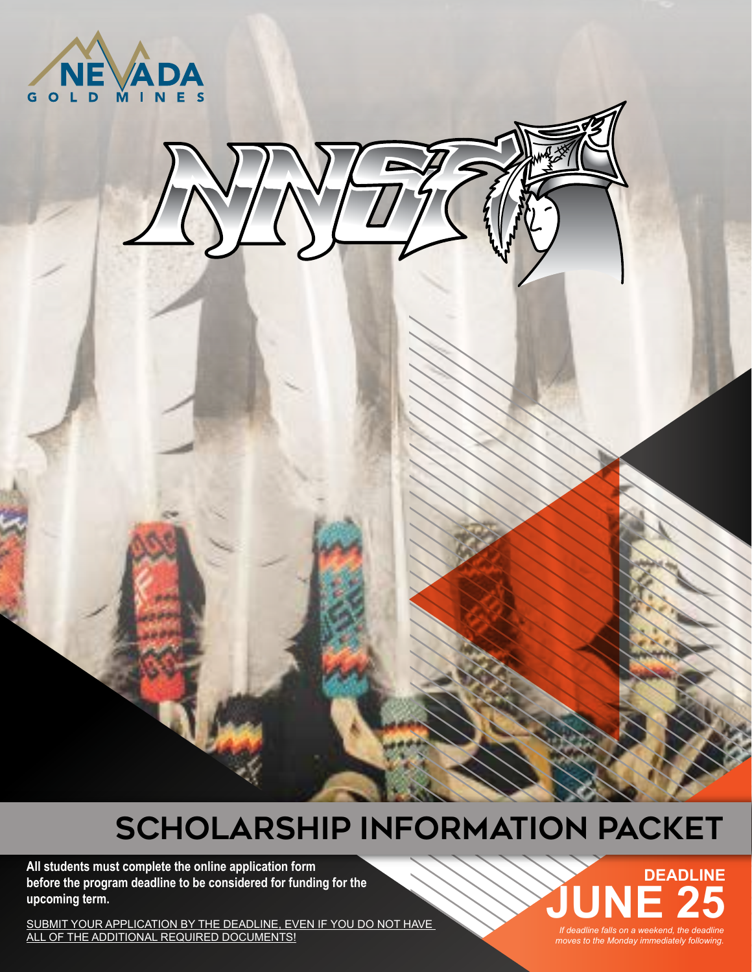



## **SCHOLARSHIP INFORMATION PACKET**

**All students must complete the online application form before the program deadline to be considered for funding for the upcoming term.**

SUBMIT YOUR APPLICATION BY THE DEADLINE, EVEN IF YOU DO NOT HAVE *If deadline falls on a weekend, the deadline*<br>ALL OF THE ADDITIONAL REQUIRED DOCUMENTS! *If deadline moves to the Mondav immediately following.* 

*moves to the Monday immediately following.* **DEADLINE** If deadline falls on a weekend, the deadline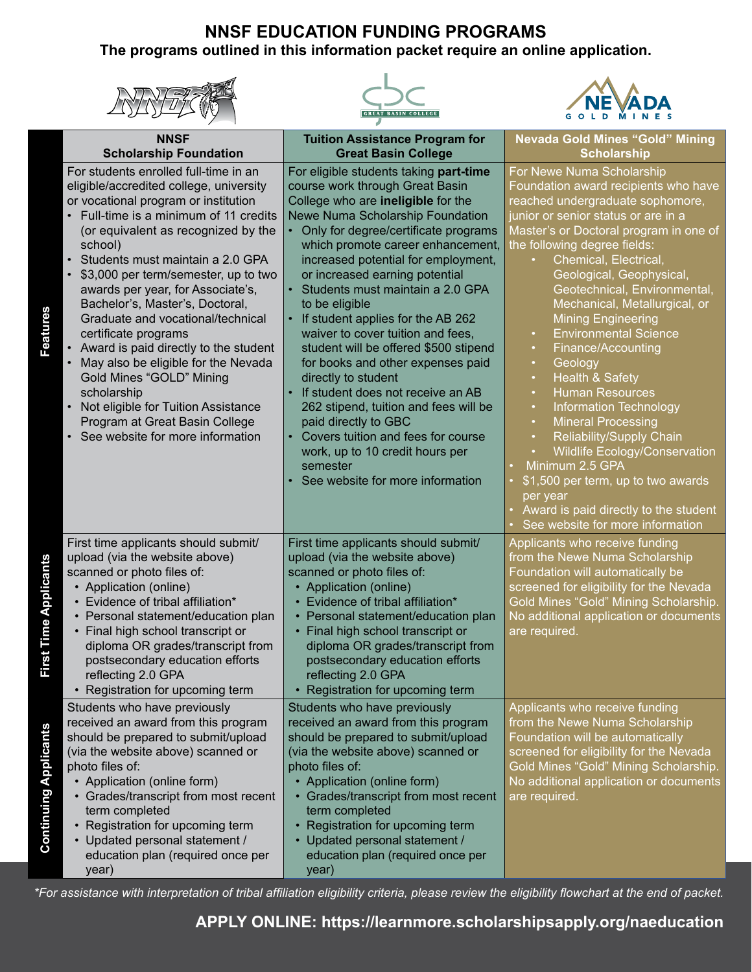## **NNSF EDUCATION FUNDING PROGRAMS The programs outlined in this information packet require an online application.**

| <b>NNSF</b><br><b>Scholarship Foundation</b>                                                                                                                                                                                                                                                                                                                                                                                                                                                                                                                                                                                                                                                         | <b>Tuition Assistance Program for</b><br><b>Great Basin College</b>                                                                                                                                                                                                                                                                                                                                                                                                                                                                                                                                                                                                                                                                                                           | <b>Nevada Gold Mines "Gold" Mining</b><br><b>Scholarship</b>                                                                                                                                                                                                                                                                                                                                                                                                                                                                                                                                                                                                                                                                                                                                                                                                                                   |
|------------------------------------------------------------------------------------------------------------------------------------------------------------------------------------------------------------------------------------------------------------------------------------------------------------------------------------------------------------------------------------------------------------------------------------------------------------------------------------------------------------------------------------------------------------------------------------------------------------------------------------------------------------------------------------------------------|-------------------------------------------------------------------------------------------------------------------------------------------------------------------------------------------------------------------------------------------------------------------------------------------------------------------------------------------------------------------------------------------------------------------------------------------------------------------------------------------------------------------------------------------------------------------------------------------------------------------------------------------------------------------------------------------------------------------------------------------------------------------------------|------------------------------------------------------------------------------------------------------------------------------------------------------------------------------------------------------------------------------------------------------------------------------------------------------------------------------------------------------------------------------------------------------------------------------------------------------------------------------------------------------------------------------------------------------------------------------------------------------------------------------------------------------------------------------------------------------------------------------------------------------------------------------------------------------------------------------------------------------------------------------------------------|
| For students enrolled full-time in an<br>eligible/accredited college, university<br>or vocational program or institution<br>• Full-time is a minimum of 11 credits<br>(or equivalent as recognized by the<br>school)<br>Students must maintain a 2.0 GPA<br>\$3,000 per term/semester, up to two<br>awards per year, for Associate's,<br>Bachelor's, Master's, Doctoral,<br>Features<br>Graduate and vocational/technical<br>certificate programs<br>• Award is paid directly to the student<br>May also be eligible for the Nevada<br><b>Gold Mines "GOLD" Mining</b><br>scholarship<br>Not eligible for Tuition Assistance<br>Program at Great Basin College<br>• See website for more information | For eligible students taking part-time<br>course work through Great Basin<br>College who are ineligible for the<br>Newe Numa Scholarship Foundation<br>Only for degree/certificate programs<br>which promote career enhancement,<br>increased potential for employment,<br>or increased earning potential<br>Students must maintain a 2.0 GPA<br>to be eligible<br>If student applies for the AB 262<br>waiver to cover tuition and fees,<br>student will be offered \$500 stipend<br>for books and other expenses paid<br>directly to student<br>If student does not receive an AB<br>262 stipend, tuition and fees will be<br>paid directly to GBC<br>Covers tuition and fees for course<br>work, up to 10 credit hours per<br>semester<br>See website for more information | For Newe Numa Scholarship<br>Foundation award recipients who have<br>reached undergraduate sophomore,<br>junior or senior status or are in a<br>Master's or Doctoral program in one of<br>the following degree fields:<br>Chemical, Electrical,<br>Geological, Geophysical,<br>Geotechnical, Environmental,<br>Mechanical, Metallurgical, or<br><b>Mining Engineering</b><br><b>Environmental Science</b><br>$\bullet$<br>Finance/Accounting<br>$\bullet$<br>Geology<br>$\bullet$<br><b>Health &amp; Safety</b><br>$\bullet$<br><b>Human Resources</b><br>$\bullet$<br><b>Information Technology</b><br>$\bullet$<br><b>Mineral Processing</b><br>$\bullet$<br>Reliability/Supply Chain<br>$\bullet$<br><b>Wildlife Ecology/Conservation</b><br>Minimum 2.5 GPA<br>\$1,500 per term, up to two awards<br>per year<br>Award is paid directly to the student<br>See website for more information |
| First time applicants should submit/<br>upload (via the website above)<br>Applicants<br>scanned or photo files of:<br>• Application (online)<br>• Evidence of tribal affiliation*<br>Personal statement/education plan<br>First Time<br>Final high school transcript or<br>diploma OR grades/transcript from<br>postsecondary education efforts<br>reflecting 2.0 GPA<br>• Registration for upcoming term                                                                                                                                                                                                                                                                                            | First time applicants should submit/<br>upload (via the website above)<br>scanned or photo files of:<br>• Application (online)<br>• Evidence of tribal affiliation*<br>Personal statement/education plan<br>• Final high school transcript or<br>diploma OR grades/transcript from<br>postsecondary education efforts<br>reflecting 2.0 GPA<br>Registration for upcoming term                                                                                                                                                                                                                                                                                                                                                                                                 | Applicants who receive funding<br>from the Newe Numa Scholarship<br>Foundation will automatically be<br>screened for eligibility for the Nevada<br>Gold Mines "Gold" Mining Scholarship.<br>No additional application or documents<br>are required.                                                                                                                                                                                                                                                                                                                                                                                                                                                                                                                                                                                                                                            |
| Students who have previously<br>received an award from this program<br>Continuing Applicants<br>should be prepared to submit/upload<br>(via the website above) scanned or<br>photo files of:<br>• Application (online form)<br>• Grades/transcript from most recent<br>term completed<br>Registration for upcoming term<br>• Updated personal statement /<br>education plan (required once per<br>year)                                                                                                                                                                                                                                                                                              | Students who have previously<br>received an award from this program<br>should be prepared to submit/upload<br>(via the website above) scanned or<br>photo files of:<br>• Application (online form)<br>• Grades/transcript from most recent<br>term completed<br>Registration for upcoming term<br>• Updated personal statement /<br>education plan (required once per<br>year)                                                                                                                                                                                                                                                                                                                                                                                                | Applicants who receive funding<br>from the Newe Numa Scholarship<br>Foundation will be automatically<br>screened for eligibility for the Nevada<br>Gold Mines "Gold" Mining Scholarship.<br>No additional application or documents<br>are required.                                                                                                                                                                                                                                                                                                                                                                                                                                                                                                                                                                                                                                            |

*\*For assistance with interpretation of tribal affiliation eligibility criteria, please review the eligibility flowchart at the end of packet.*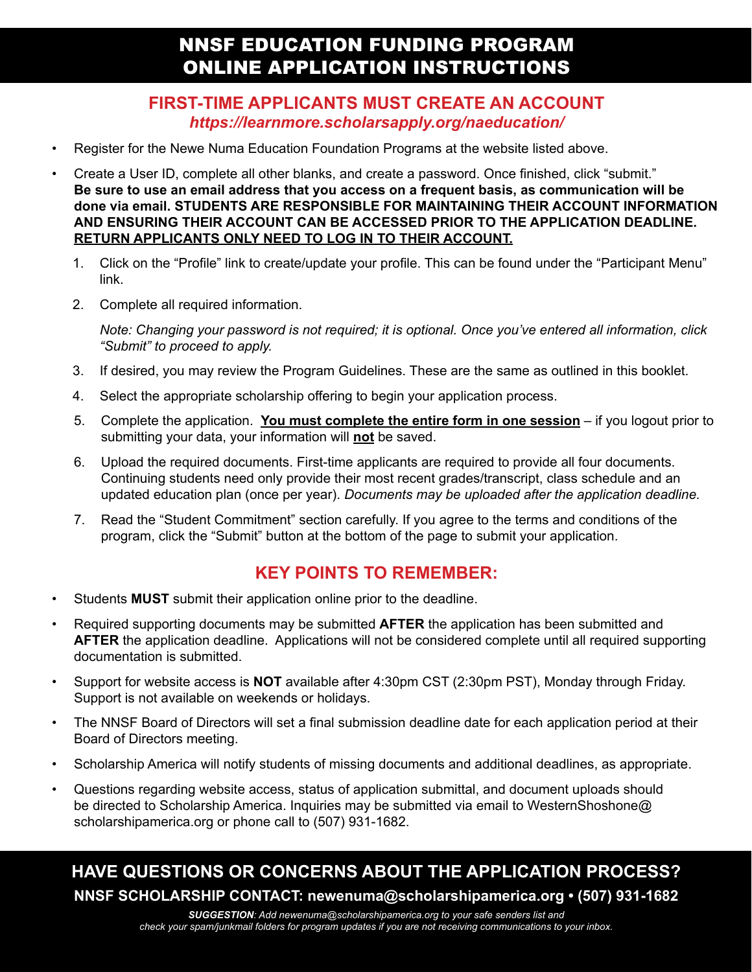### **FIRST-TIME APPLICANTS MUST CREATE AN ACCOUNT** *https://learnmore.scholarsapply.org/naeducation/*

- Register for the Newe Numa Education Foundation Programs at the website listed above.
- Create a User ID, complete all other blanks, and create a password. Once finished, click "submit." **Be sure to use an email address that you access on a frequent basis, as communication will be done via email. STUDENTS ARE RESPONSIBLE FOR MAINTAINING THEIR ACCOUNT INFORMATION AND ENSURING THEIR ACCOUNT CAN BE ACCESSED PRIOR TO THE APPLICATION DEADLINE. RETURN APPLICANTS ONLY NEED TO LOG IN TO THEIR ACCOUNT.**
	- 1. Click on the "Profile" link to create/update your profile. This can be found under the "Participant Menu" link.
	- 2. Complete all required information.

*Note: Changing your password is not required; it is optional. Once you've entered all information, click "Submit" to proceed to apply.*

- 3. If desired, you may review the Program Guidelines. These are the same as outlined in this booklet.
- 4. Select the appropriate scholarship offering to begin your application process.
- 5. Complete the application. **You must complete the entire form in one session** if you logout prior to submitting your data, your information will **not** be saved.
- 6. Upload the required documents. First-time applicants are required to provide all four documents. Continuing students need only provide their most recent grades/transcript, class schedule and an updated education plan (once per year). *Documents may be uploaded after the application deadline.*
- 7. Read the "Student Commitment" section carefully. If you agree to the terms and conditions of the program, click the "Submit" button at the bottom of the page to submit your application.

## **KEY POINTS TO REMEMBER:**

- Students **MUST** submit their application online prior to the deadline.
- Required supporting documents may be submitted **AFTER** the application has been submitted and **AFTER** the application deadline. Applications will not be considered complete until all required supporting documentation is submitted.
- Support for website access is **NOT** available after 4:30pm CST (2:30pm PST), Monday through Friday. Support is not available on weekends or holidays.
- The NNSF Board of Directors will set a final submission deadline date for each application period at their Board of Directors meeting.
- Scholarship America will notify students of missing documents and additional deadlines, as appropriate.
- Questions regarding website access, status of application submittal, and document uploads should be directed to Scholarship America. Inquiries may be submitted via email to WesternShoshone@ scholarshipamerica.org or phone call to (507) 931-1682.

## **HAVE QUESTIONS OR CONCERNS ABOUT THE APPLICATION PROCESS? NNSF SCHOLARSHIP CONTACT: newenuma@scholarshipamerica.org • (507) 931-1682**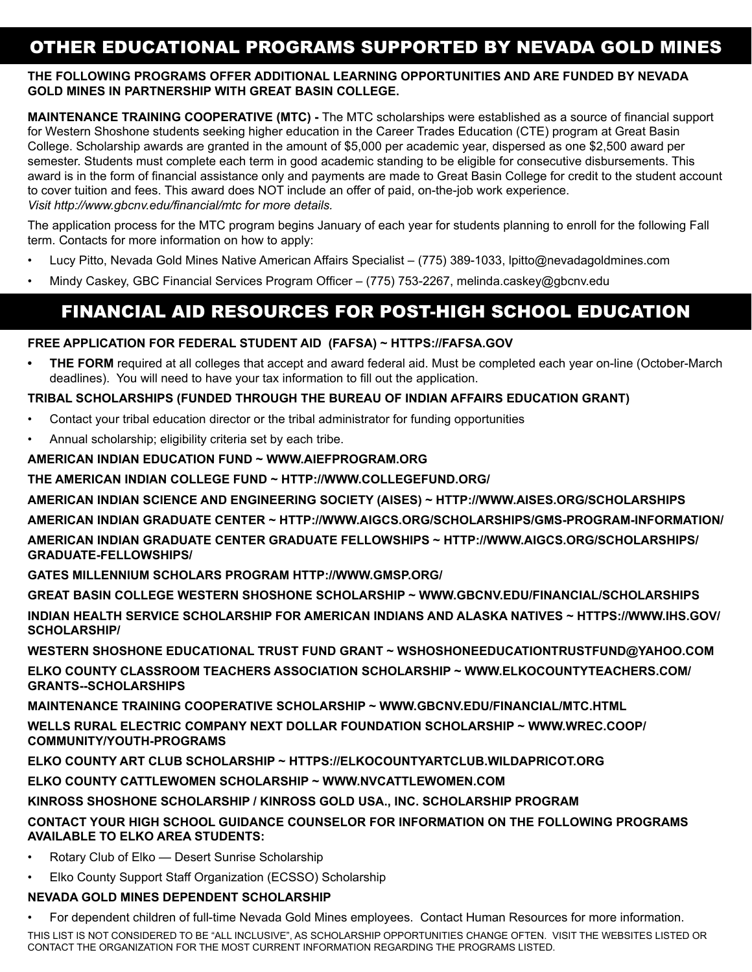## OTHER EDUCATIONAL PROGRAMS SUPPORTED BY NEVADA GOLD MINES

#### **THE FOLLOWING PROGRAMS OFFER ADDITIONAL LEARNING OPPORTUNITIES AND ARE FUNDED BY NEVADA GOLD MINES IN PARTNERSHIP WITH GREAT BASIN COLLEGE.**

**MAINTENANCE TRAINING COOPERATIVE (MTC) -** The MTC scholarships were established as a source of financial support for Western Shoshone students seeking higher education in the Career Trades Education (CTE) program at Great Basin College. Scholarship awards are granted in the amount of \$5,000 per academic year, dispersed as one \$2,500 award per semester. Students must complete each term in good academic standing to be eligible for consecutive disbursements. This award is in the form of financial assistance only and payments are made to Great Basin College for credit to the student account to cover tuition and fees. This award does NOT include an offer of paid, on-the-job work experience. *Visit http://www.gbcnv.edu/financial/mtc for more details.*

The application process for the MTC program begins January of each year for students planning to enroll for the following Fall term. Contacts for more information on how to apply:

- Lucy Pitto, Nevada Gold Mines Native American Affairs Specialist (775) 389-1033, lpitto@nevadagoldmines.com
- Mindy Caskey, GBC Financial Services Program Officer (775) 753-2267, melinda.caskey@gbcnv.edu

## FINANCIAL AID RESOURCES FOR POST-HIGH SCHOOL EDUCATION

#### **FREE APPLICATION FOR FEDERAL STUDENT AID (FAFSA) ~ HTTPS://FAFSA.GOV**

**• THE FORM** required at all colleges that accept and award federal aid. Must be completed each year on-line (October-March deadlines). You will need to have your tax information to fill out the application.

#### **TRIBAL SCHOLARSHIPS (FUNDED THROUGH THE BUREAU OF INDIAN AFFAIRS EDUCATION GRANT)**

- Contact your tribal education director or the tribal administrator for funding opportunities
- Annual scholarship; eligibility criteria set by each tribe.

#### **AMERICAN INDIAN EDUCATION FUND ~ WWW.AIEFPROGRAM.ORG**

#### **THE AMERICAN INDIAN COLLEGE FUND ~ HTTP://WWW.COLLEGEFUND.ORG/**

**AMERICAN INDIAN SCIENCE AND ENGINEERING SOCIETY (AISES) ~ HTTP://WWW.AISES.ORG/SCHOLARSHIPS**

**AMERICAN INDIAN GRADUATE CENTER ~ HTTP://WWW.AIGCS.ORG/SCHOLARSHIPS/GMS-PROGRAM-INFORMATION/**

**AMERICAN INDIAN GRADUATE CENTER GRADUATE FELLOWSHIPS ~ HTTP://WWW.AIGCS.ORG/SCHOLARSHIPS/ GRADUATE-FELLOWSHIPS/**

**GATES MILLENNIUM SCHOLARS PROGRAM HTTP://WWW.GMSP.ORG/**

**GREAT BASIN COLLEGE WESTERN SHOSHONE SCHOLARSHIP ~ WWW.GBCNV.EDU/FINANCIAL/SCHOLARSHIPS**

**INDIAN HEALTH SERVICE SCHOLARSHIP FOR AMERICAN INDIANS AND ALASKA NATIVES ~ HTTPS://WWW.IHS.GOV/ SCHOLARSHIP/**

**WESTERN SHOSHONE EDUCATIONAL TRUST FUND GRANT ~ WSHOSHONEEDUCATIONTRUSTFUND@YAHOO.COM**

**ELKO COUNTY CLASSROOM TEACHERS ASSOCIATION SCHOLARSHIP ~ WWW.ELKOCOUNTYTEACHERS.COM/ GRANTS--SCHOLARSHIPS**

**MAINTENANCE TRAINING COOPERATIVE SCHOLARSHIP ~ WWW.GBCNV.EDU/FINANCIAL/MTC.HTML**

**WELLS RURAL ELECTRIC COMPANY NEXT DOLLAR FOUNDATION SCHOLARSHIP ~ WWW.WREC.COOP/ COMMUNITY/YOUTH-PROGRAMS**

**ELKO COUNTY ART CLUB SCHOLARSHIP ~ HTTPS://ELKOCOUNTYARTCLUB.WILDAPRICOT.ORG**

**ELKO COUNTY CATTLEWOMEN SCHOLARSHIP ~ WWW.NVCATTLEWOMEN.COM**

**KINROSS SHOSHONE SCHOLARSHIP / KINROSS GOLD USA., INC. SCHOLARSHIP PROGRAM**

#### **CONTACT YOUR HIGH SCHOOL GUIDANCE COUNSELOR FOR INFORMATION ON THE FOLLOWING PROGRAMS AVAILABLE TO ELKO AREA STUDENTS:**

- Rotary Club of Elko Desert Sunrise Scholarship
- Elko County Support Staff Organization (ECSSO) Scholarship

#### **NEVADA GOLD MINES DEPENDENT SCHOLARSHIP**

• For dependent children of full-time Nevada Gold Mines employees. Contact Human Resources for more information.

THIS LIST IS NOT CONSIDERED TO BE "ALL INCLUSIVE", AS SCHOLARSHIP OPPORTUNITIES CHANGE OFTEN. VISIT THE WEBSITES LISTED OR CONTACT THE ORGANIZATION FOR THE MOST CURRENT INFORMATION REGARDING THE PROGRAMS LISTED.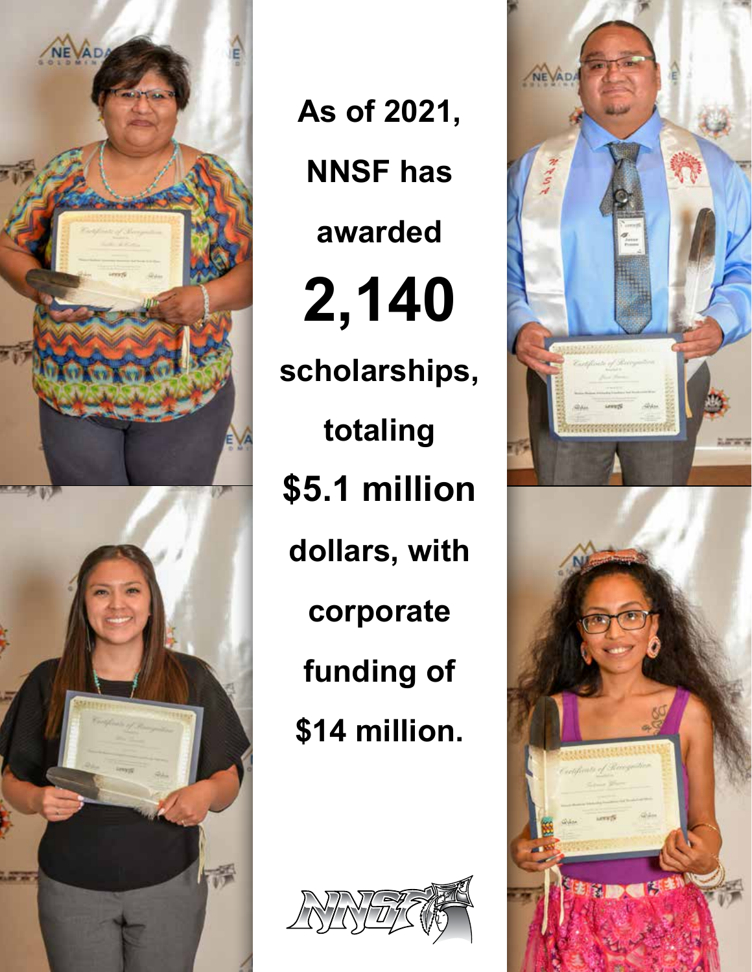

**As of 2021, NNSF has awarded 2,140 scholarships, totaling \$5.1 million dollars, with corporate funding of \$14 million.**



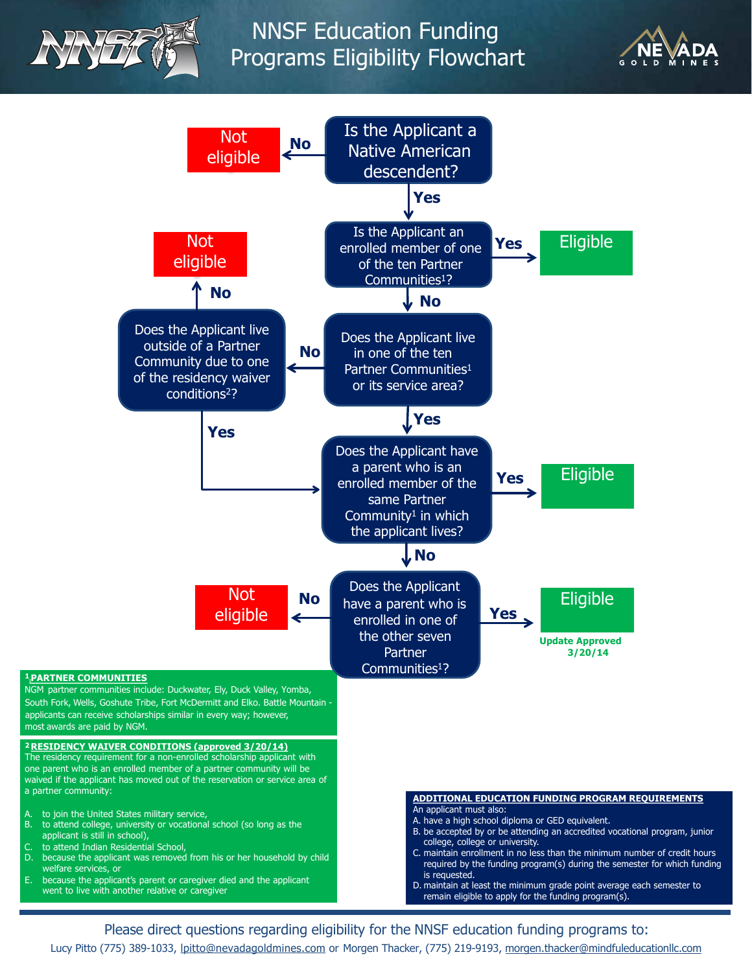





Please direct questions regarding eligibility for the NNSF education funding programs to: Lucy Pitto (775) 389-1033, lpitto@nevadagoldmines.com or Morgen Thacker, (775) 219-9193, morgen.thacker@mindfuleducationllc.com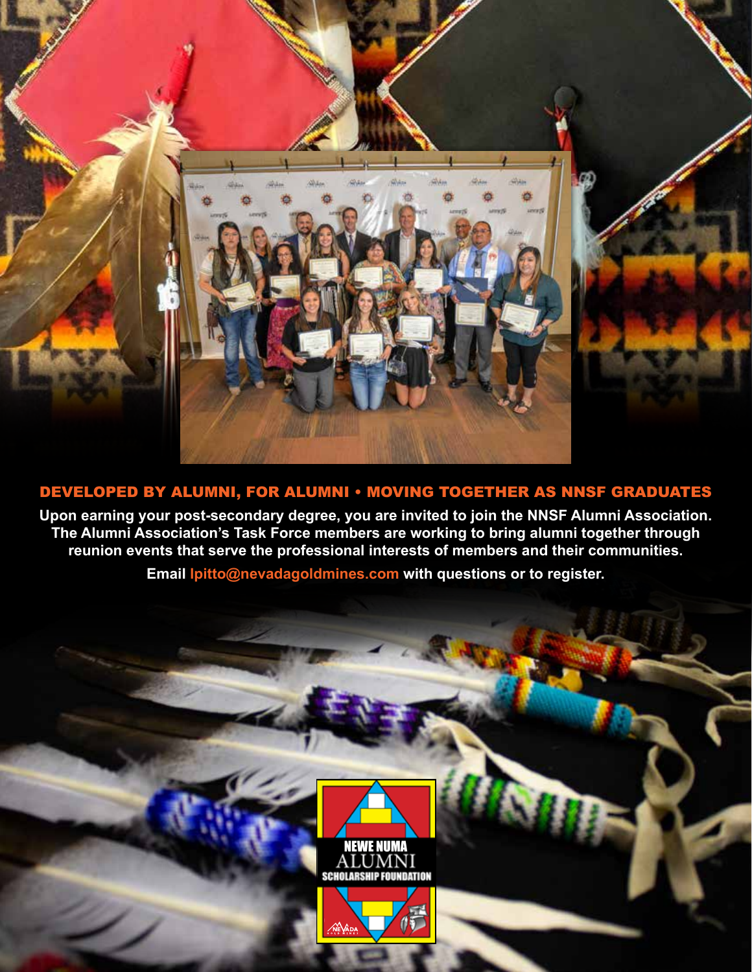

## DEVELOPED BY ALUMNI, FOR ALUMNI • MOVING TOGETHER AS NNSF GRADUATES

**Upon earning your post-secondary degree, you are invited to join the NNSF Alumni Association. The Alumni Association's Task Force members are working to bring alumni together through reunion events that serve the professional interests of members and their communities.**

**Email lpitto@nevadagoldmines.com with questions or to register.**